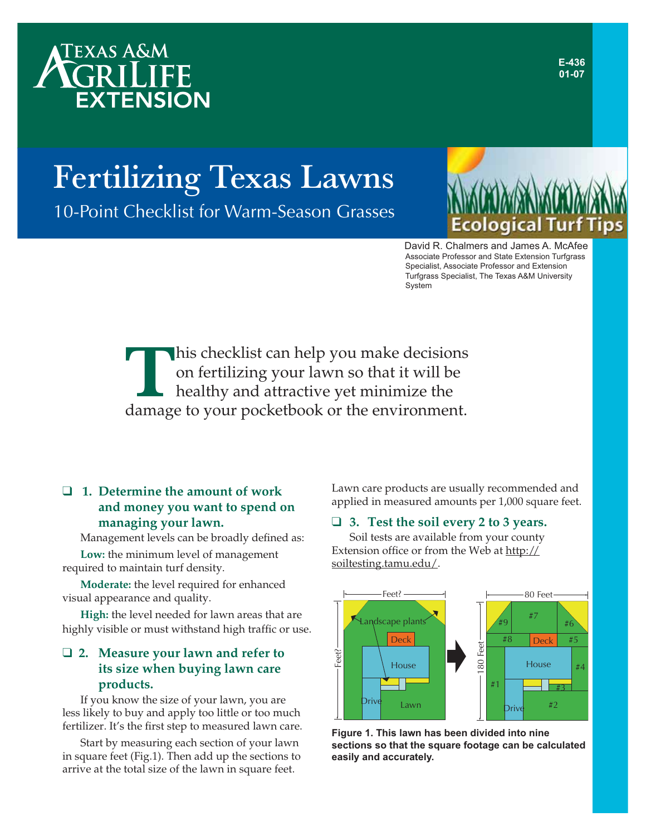# `exas A&M **EXTENSION**

# Fertilizing Texas Lawns

10-Point Checklist for Warm-Season Grasses



David R. Chalmers and James A. McAfee Associate Professor and State Extension Turfgrass Specialist, Associate Professor and Extension Turfgrass Specialist, The Texas A&M University System

This checklist can help you make decisions<br>on fertilizing your lawn so that it will be<br>healthy and attractive yet minimize the<br>damage to your pocketbook or the environment. on fertilizing your lawn so that it will be healthy and attractive yet minimize the damage to your pocketbook or the environment.

## ❑ **1. Determine the amount of work and money you want to spend on managing your lawn.**

Management levels can be broadly defined as:

**Low:** the minimum level of management required to maintain turf density.

**Moderate:** the level required for enhanced visual appearance and quality.

**High:** the level needed for lawn areas that are highly visible or must withstand high traffic or use.

# ❑ **2. Measure your lawn and refer to its size when buying lawn care products.**

If you know the size of your lawn, you are less likely to buy and apply too little or too much fertilizer. It's the first step to measured lawn care.

Start by measuring each section of your lawn in square feet (Fig.1). Then add up the sections to arrive at the total size of the lawn in square feet.

Lawn care products are usually recommended and applied in measured amounts per 1,000 square feet.

### ❑ **3. Test the soil every 2 to 3 years.**

Soil tests are available from your county Extension office or from the Web at http:// soiltesting.tamu.edu/.



**Figure 1. This lawn has been divided into nine sections so that the square footage can be calculated easily and accurately.**

**E-436 01-07**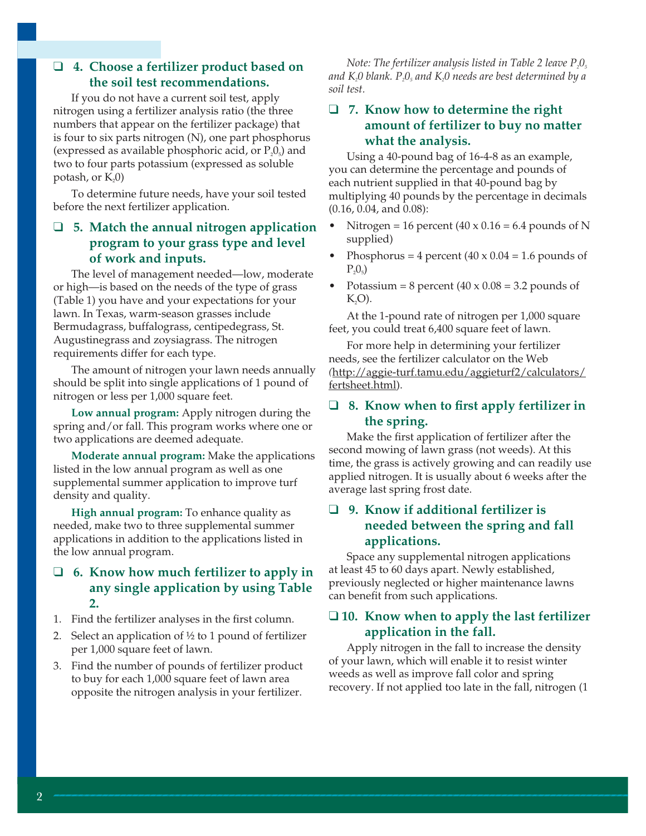#### ❑ **4. Choose a fertilizer product based on the soil test recommendations.**

If you do not have a current soil test, apply nitrogen using a fertilizer analysis ratio (the three numbers that appear on the fertilizer package) that is four to six parts nitrogen (N), one part phosphorus (expressed as available phosphoric acid, or  $P_2O_5$ ) and two to four parts potassium (expressed as soluble potash, or  $K<sub>2</sub>0$ )

To determine future needs, have your soil tested before the next fertilizer application.

### ❑ **5. Match the annual nitrogen application program to your grass type and level of work and inputs.**

The level of management needed—low, moderate or high—is based on the needs of the type of grass (Table 1) you have and your expectations for your lawn. In Texas, warm-season grasses include Bermudagrass, buffalograss, centipedegrass, St. Augustinegrass and zoysiagrass. The nitrogen requirements differ for each type.

The amount of nitrogen your lawn needs annually should be split into single applications of 1 pound of nitrogen or less per 1,000 square feet.

**Low annual program:** Apply nitrogen during the spring and/or fall. This program works where one or two applications are deemed adequate.

**Moderate annual program:** Make the applications listed in the low annual program as well as one supplemental summer application to improve turf density and quality.

**High annual program:** To enhance quality as needed, make two to three supplemental summer applications in addition to the applications listed in the low annual program.

### ❑ **6. Know how much fertilizer to apply in any single application by using Table 2.**

- 1. Find the fertilizer analyses in the first column.
- 2. Select an application of  $\frac{1}{2}$  to 1 pound of fertilizer per 1,000 square feet of lawn.
- 3. Find the number of pounds of fertilizer product to buy for each 1,000 square feet of lawn area opposite the nitrogen analysis in your fertilizer.

*Note: The fertilizer analysis listed in Table 2 leave*  $P_0O_5$ and K<sub>2</sub>0 blank. P<sub>2</sub>0<sub>5</sub> and K<sub>2</sub>0 needs are best determined by a *soil test.*

#### ❑ **7. Know how to determine the right amount of fertilizer to buy no matter what the analysis.**

Using a 40-pound bag of 16-4-8 as an example, you can determine the percentage and pounds of each nutrient supplied in that 40-pound bag by multiplying 40 pounds by the percentage in decimals (0.16, 0.04, and 0.08):

- Nitrogen = 16 percent  $(40 \times 0.16 = 6.4$  pounds of N supplied)
- Phosphorus = 4 percent  $(40 \times 0.04 = 1.6$  pounds of  $P_2O_5$
- Potassium = 8 percent  $(40 \times 0.08 = 3.2$  pounds of  $K_2O$ ).

At the 1-pound rate of nitrogen per 1,000 square feet, you could treat 6,400 square feet of lawn.

For more help in determining your fertilizer needs, see the fertilizer calculator on the Web *(*http://aggie-turf.tamu.edu/aggieturf2/calculators/ fertsheet.html).

#### □ 8. Know when to first apply fertilizer in **the spring.**

Make the first application of fertilizer after the second mowing of lawn grass (not weeds). At this time, the grass is actively growing and can readily use applied nitrogen. It is usually about 6 weeks after the average last spring frost date.

### ❑ **9. Know if additional fertilizer is needed between the spring and fall applications.**

Space any supplemental nitrogen applications at least 45 to 60 days apart. Newly established, previously neglected or higher maintenance lawns can benefit from such applications.

#### ❑ **10. Know when to apply the last fertilizer application in the fall.**

Apply nitrogen in the fall to increase the density of your lawn, which will enable it to resist winter weeds as well as improve fall color and spring recovery. If not applied too late in the fall, nitrogen (1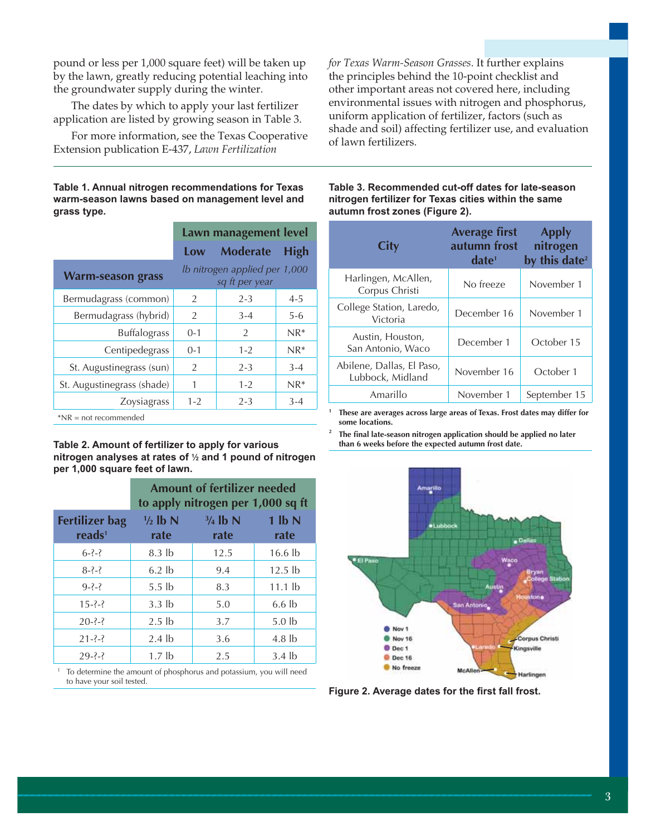pound or less per 1,000 square feet) will be taken up by the lawn, greatly reducing potential leaching into the groundwater supply during the winter.

The dates by which to apply your last fertilizer application are listed by growing season in Table 3.

For more information, see the Texas Cooperative Extension publication E-437, *Lawn Fertilization* 

**Table 1. Annual nitrogen recommendations for Texas warm-season lawns based on management level and grass type.**

|                            | Lawn management level                           |                 |             |
|----------------------------|-------------------------------------------------|-----------------|-------------|
|                            | Low                                             | <b>Moderate</b> | <b>High</b> |
| <b>Warm-season grass</b>   | lb nitrogen applied per 1,000<br>sq ft per year |                 |             |
| Bermudagrass (common)      | 2                                               | $2 - 3$         | $4 - 5$     |
| Bermudagrass (hybrid)      | $\overline{2}$                                  | $3 - 4$         | $5-6$       |
| <b>Buffalograss</b>        | $0 - 1$                                         | $\mathcal{P}$   | $NR*$       |
| Centipedegrass             | $0-1$                                           | $1 - 2$         | $NR*$       |
| St. Augustinegrass (sun)   | 2                                               | $2 - 3$         | $3 - 4$     |
| St. Augustinegrass (shade) | 1                                               | $1 - 2$         | $NR^*$      |
| Zoysiagrass                | $1 - 2$                                         | $2 - 3$         | $3-4$       |
| $*NR = not recommended$    |                                                 |                 |             |

**Table 2. Amount of fertilizer to apply for various nitrogen analyses at rates of 1 ⁄2 and 1 pound of nitrogen per 1,000 square feet of lawn.**

| <b>Amount of fertilizer needed</b><br>to apply nitrogen per 1,000 sq ft |                            |                    |
|-------------------------------------------------------------------------|----------------------------|--------------------|
| $\frac{1}{2}$ lb N<br>rate                                              | $\frac{3}{4}$ lb N<br>rate | $1$ lb $N$<br>rate |
| $8.3$ lb                                                                | 12.5                       | $16.6$ lb          |
| $6.2$ lb                                                                | 9.4                        | $12.5$ lb          |
| 5.5 <sub>1b</sub>                                                       | 8.3                        | $11.1$ lb          |
| $3.3$ lb                                                                | 5.0                        | $6.6$ lb           |
| $2.5$ lb                                                                | 3.7                        | $5.0$ lb           |
| $2.4$ lb                                                                | 3.6                        | $4.8$ lb           |
| 1.7 <sub>th</sub>                                                       | 2.5                        | $3.4$ lb           |
|                                                                         |                            |                    |

1 To determine the amount of phosphorus and potassium, you will need to have your soil tested.

*for Texas Warm-Season Grasses*. It further explains the principles behind the 10-point checklist and other important areas not covered here, including environmental issues with nitrogen and phosphorus, uniform application of fertilizer, factors (such as shade and soil) affecting fertilizer use, and evaluation of lawn fertilizers.

**Table 3. Recommended cut-off dates for late-season nitrogen fertilizer for Texas cities within the same autumn frost zones (Figure 2).**

| <b>City</b>                                   | <b>Average first</b><br>autumn frost<br>date <sup>1</sup> | <b>Apply</b><br>nitrogen<br>by this date <sup>2</sup> |
|-----------------------------------------------|-----------------------------------------------------------|-------------------------------------------------------|
| Harlingen, McAllen,<br>Corpus Christi         | No freeze                                                 | November 1                                            |
| College Station, Laredo,<br>Victoria          | December 16                                               | November 1                                            |
| Austin, Houston,<br>San Antonio, Waco         | December 1                                                | October 15                                            |
| Abilene, Dallas, El Paso,<br>Lubbock, Midland | November 16                                               | October 1                                             |
| Amarillo                                      | November 1                                                | September 15                                          |

**1 These are averages across large areas of Texas. Frost dates may differ for some locations.** 

**2** The final late-season nitrogen application should be applied no later **than 6 weeks before the expected autumn frost date.**



Figure 2. Average dates for the first fall frost.